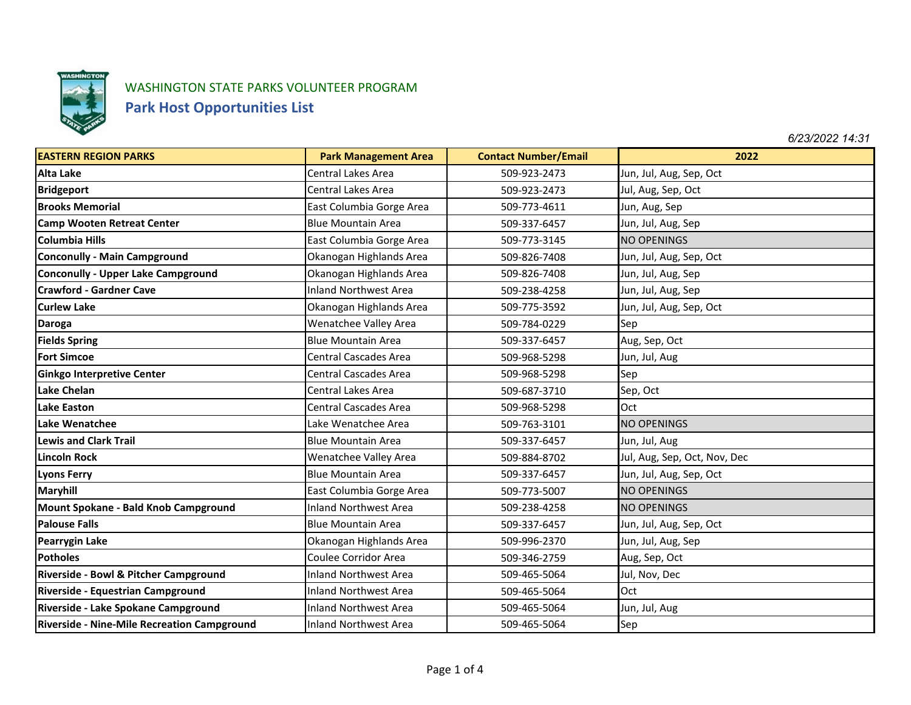

## WASHINGTON STATE PARKS VOLUNTEER PROGRAM

## **Park Host Opportunities List**

*6/23/2022 14:31*

| <b>EASTERN REGION PARKS</b>                        | <b>Park Management Area</b>  | <b>Contact Number/Email</b> | 2022                         |
|----------------------------------------------------|------------------------------|-----------------------------|------------------------------|
| <b>Alta Lake</b>                                   | Central Lakes Area           | 509-923-2473                | Jun, Jul, Aug, Sep, Oct      |
| <b>Bridgeport</b>                                  | Central Lakes Area           | 509-923-2473                | Jul, Aug, Sep, Oct           |
| <b>Brooks Memorial</b>                             | East Columbia Gorge Area     | 509-773-4611                | Jun, Aug, Sep                |
| <b>Camp Wooten Retreat Center</b>                  | <b>Blue Mountain Area</b>    | 509-337-6457                | Jun, Jul, Aug, Sep           |
| <b>Columbia Hills</b>                              | East Columbia Gorge Area     | 509-773-3145                | <b>NO OPENINGS</b>           |
| <b>Conconully - Main Campground</b>                | Okanogan Highlands Area      | 509-826-7408                | Jun, Jul, Aug, Sep, Oct      |
| <b>Conconully - Upper Lake Campground</b>          | Okanogan Highlands Area      | 509-826-7408                | Jun, Jul, Aug, Sep           |
| <b>Crawford - Gardner Cave</b>                     | <b>Inland Northwest Area</b> | 509-238-4258                | Jun, Jul, Aug, Sep           |
| <b>Curlew Lake</b>                                 | Okanogan Highlands Area      | 509-775-3592                | Jun, Jul, Aug, Sep, Oct      |
| <b>Daroga</b>                                      | Wenatchee Valley Area        | 509-784-0229                | Sep                          |
| <b>Fields Spring</b>                               | <b>Blue Mountain Area</b>    | 509-337-6457                | Aug, Sep, Oct                |
| <b>Fort Simcoe</b>                                 | <b>Central Cascades Area</b> | 509-968-5298                | Jun, Jul, Aug                |
| <b>Ginkgo Interpretive Center</b>                  | <b>Central Cascades Area</b> | 509-968-5298                | Sep                          |
| <b>Lake Chelan</b>                                 | Central Lakes Area           | 509-687-3710                | Sep, Oct                     |
| <b>Lake Easton</b>                                 | <b>Central Cascades Area</b> | 509-968-5298                | Oct                          |
| Lake Wenatchee                                     | Lake Wenatchee Area          | 509-763-3101                | <b>NO OPENINGS</b>           |
| <b>Lewis and Clark Trail</b>                       | <b>Blue Mountain Area</b>    | 509-337-6457                | Jun, Jul, Aug                |
| <b>Lincoln Rock</b>                                | Wenatchee Valley Area        | 509-884-8702                | Jul, Aug, Sep, Oct, Nov, Dec |
| <b>Lyons Ferry</b>                                 | <b>Blue Mountain Area</b>    | 509-337-6457                | Jun, Jul, Aug, Sep, Oct      |
| <b>Maryhill</b>                                    | East Columbia Gorge Area     | 509-773-5007                | <b>NO OPENINGS</b>           |
| Mount Spokane - Bald Knob Campground               | <b>Inland Northwest Area</b> | 509-238-4258                | <b>NO OPENINGS</b>           |
| <b>Palouse Falls</b>                               | <b>Blue Mountain Area</b>    | 509-337-6457                | Jun, Jul, Aug, Sep, Oct      |
| <b>Pearrygin Lake</b>                              | Okanogan Highlands Area      | 509-996-2370                | Jun, Jul, Aug, Sep           |
| <b>Potholes</b>                                    | Coulee Corridor Area         | 509-346-2759                | Aug, Sep, Oct                |
| Riverside - Bowl & Pitcher Campground              | <b>Inland Northwest Area</b> | 509-465-5064                | Jul, Nov, Dec                |
| Riverside - Equestrian Campground                  | <b>Inland Northwest Area</b> | 509-465-5064                | Oct                          |
| Riverside - Lake Spokane Campground                | <b>Inland Northwest Area</b> | 509-465-5064                | Jun, Jul, Aug                |
| <b>Riverside - Nine-Mile Recreation Campground</b> | <b>Inland Northwest Area</b> | 509-465-5064                | Sep                          |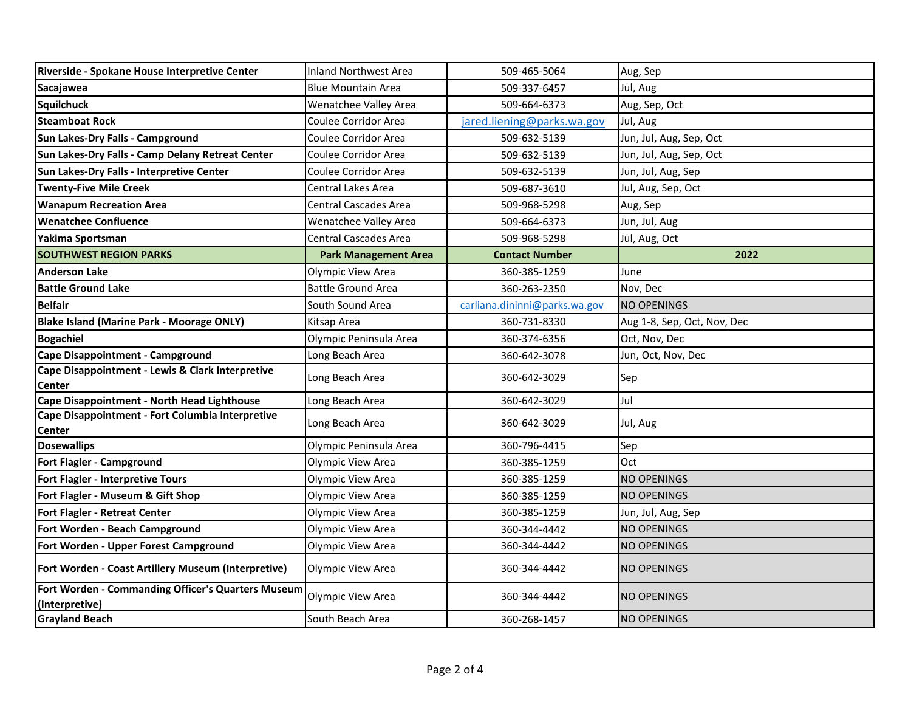| Riverside - Spokane House Interpretive Center                        | <b>Inland Northwest Area</b> | 509-465-5064                  | Aug, Sep                    |
|----------------------------------------------------------------------|------------------------------|-------------------------------|-----------------------------|
| Sacajawea                                                            | <b>Blue Mountain Area</b>    | 509-337-6457                  | Jul, Aug                    |
| <b>Squilchuck</b>                                                    | <b>Wenatchee Valley Area</b> | 509-664-6373                  | Aug, Sep, Oct               |
| <b>Steamboat Rock</b>                                                | Coulee Corridor Area         | jared.liening@parks.wa.gov    | Jul, Aug                    |
| Sun Lakes-Dry Falls - Campground                                     | Coulee Corridor Area         | 509-632-5139                  | Jun, Jul, Aug, Sep, Oct     |
| Sun Lakes-Dry Falls - Camp Delany Retreat Center                     | Coulee Corridor Area         | 509-632-5139                  | Jun, Jul, Aug, Sep, Oct     |
| Sun Lakes-Dry Falls - Interpretive Center                            | Coulee Corridor Area         | 509-632-5139                  | Jun, Jul, Aug, Sep          |
| <b>Twenty-Five Mile Creek</b>                                        | Central Lakes Area           | 509-687-3610                  | Jul, Aug, Sep, Oct          |
| <b>Wanapum Recreation Area</b>                                       | <b>Central Cascades Area</b> | 509-968-5298                  | Aug, Sep                    |
| <b>Wenatchee Confluence</b>                                          | Wenatchee Valley Area        | 509-664-6373                  | Jun, Jul, Aug               |
| Yakima Sportsman                                                     | <b>Central Cascades Area</b> | 509-968-5298                  | Jul, Aug, Oct               |
| <b>SOUTHWEST REGION PARKS</b>                                        | <b>Park Management Area</b>  | <b>Contact Number</b>         | 2022                        |
| <b>Anderson Lake</b>                                                 | Olympic View Area            | 360-385-1259                  | June                        |
| <b>Battle Ground Lake</b>                                            | <b>Battle Ground Area</b>    | 360-263-2350                  | Nov, Dec                    |
| <b>Belfair</b>                                                       | South Sound Area             | carliana.dininni@parks.wa.gov | <b>NO OPENINGS</b>          |
| <b>Blake Island (Marine Park - Moorage ONLY)</b>                     | Kitsap Area                  | 360-731-8330                  | Aug 1-8, Sep, Oct, Nov, Dec |
| <b>Bogachiel</b>                                                     | Olympic Peninsula Area       | 360-374-6356                  | Oct, Nov, Dec               |
| <b>Cape Disappointment - Campground</b>                              | Long Beach Area              | 360-642-3078                  | Jun, Oct, Nov, Dec          |
| Cape Disappointment - Lewis & Clark Interpretive<br>Center           | Long Beach Area              | 360-642-3029                  | Sep                         |
| Cape Disappointment - North Head Lighthouse                          | Long Beach Area              | 360-642-3029                  | Jul                         |
| Cape Disappointment - Fort Columbia Interpretive<br>Center           | Long Beach Area              | 360-642-3029                  | Jul, Aug                    |
| <b>Dosewallips</b>                                                   | Olympic Peninsula Area       | 360-796-4415                  | Sep                         |
| Fort Flagler - Campground                                            | Olympic View Area            | 360-385-1259                  | Oct                         |
| Fort Flagler - Interpretive Tours                                    | Olympic View Area            | 360-385-1259                  | <b>NO OPENINGS</b>          |
| Fort Flagler - Museum & Gift Shop                                    | Olympic View Area            | 360-385-1259                  | <b>NO OPENINGS</b>          |
| <b>Fort Flagler - Retreat Center</b>                                 | Olympic View Area            | 360-385-1259                  | Jun, Jul, Aug, Sep          |
| Fort Worden - Beach Campground                                       | Olympic View Area            | 360-344-4442                  | <b>NO OPENINGS</b>          |
| Fort Worden - Upper Forest Campground                                | Olympic View Area            | 360-344-4442                  | NO OPENINGS                 |
| Fort Worden - Coast Artillery Museum (Interpretive)                  | Olympic View Area            | 360-344-4442                  | NO OPENINGS                 |
| Fort Worden - Commanding Officer's Quarters Museum<br>(Interpretive) | Olympic View Area            | 360-344-4442                  | <b>NO OPENINGS</b>          |
| <b>Grayland Beach</b>                                                | South Beach Area             | 360-268-1457                  | <b>NO OPENINGS</b>          |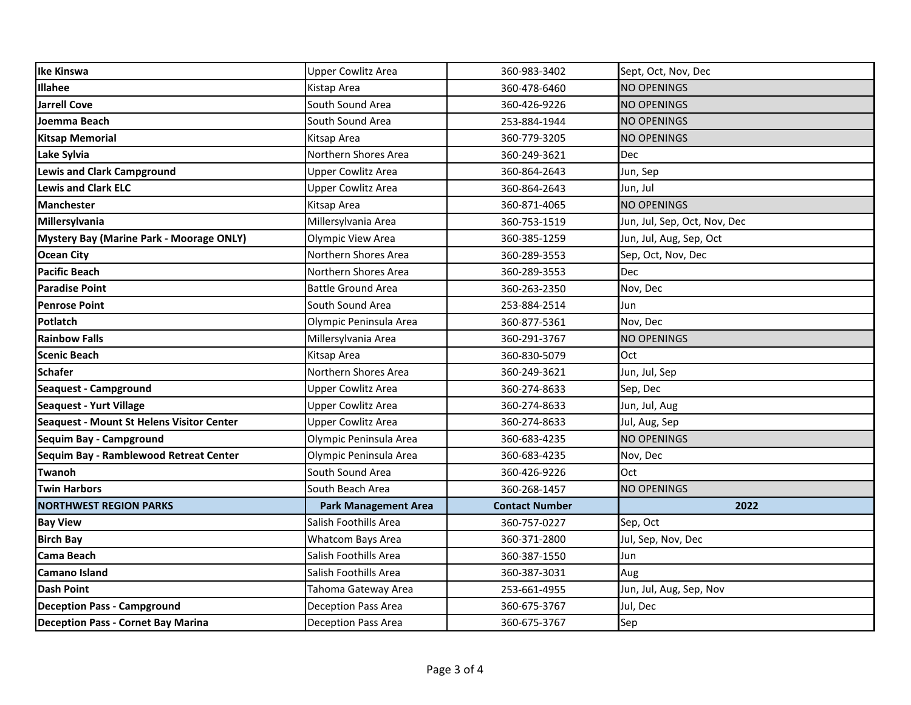| <b>Ike Kinswa</b>                               | <b>Upper Cowlitz Area</b>   | 360-983-3402          | Sept, Oct, Nov, Dec          |
|-------------------------------------------------|-----------------------------|-----------------------|------------------------------|
| <b>Illahee</b>                                  | Kistap Area                 | 360-478-6460          | <b>NO OPENINGS</b>           |
| <b>Jarrell Cove</b>                             | South Sound Area            | 360-426-9226          | <b>NO OPENINGS</b>           |
| Joemma Beach                                    | South Sound Area            | 253-884-1944          | <b>NO OPENINGS</b>           |
| <b>Kitsap Memorial</b>                          | Kitsap Area                 | 360-779-3205          | <b>NO OPENINGS</b>           |
| Lake Sylvia                                     | Northern Shores Area        | 360-249-3621          | Dec                          |
| <b>Lewis and Clark Campground</b>               | <b>Upper Cowlitz Area</b>   | 360-864-2643          | Jun, Sep                     |
| <b>Lewis and Clark ELC</b>                      | <b>Upper Cowlitz Area</b>   | 360-864-2643          | Jun, Jul                     |
| <b>Manchester</b>                               | Kitsap Area                 | 360-871-4065          | <b>NO OPENINGS</b>           |
| Millersylvania                                  | Millersylvania Area         | 360-753-1519          | Jun, Jul, Sep, Oct, Nov, Dec |
| <b>Mystery Bay (Marine Park - Moorage ONLY)</b> | Olympic View Area           | 360-385-1259          | Jun, Jul, Aug, Sep, Oct      |
| <b>Ocean City</b>                               | Northern Shores Area        | 360-289-3553          | Sep, Oct, Nov, Dec           |
| <b>Pacific Beach</b>                            | Northern Shores Area        | 360-289-3553          | <b>Dec</b>                   |
| <b>Paradise Point</b>                           | <b>Battle Ground Area</b>   | 360-263-2350          | Nov, Dec                     |
| <b>Penrose Point</b>                            | South Sound Area            | 253-884-2514          | Jun                          |
| Potlatch                                        | Olympic Peninsula Area      | 360-877-5361          | Nov, Dec                     |
| <b>Rainbow Falls</b>                            | Millersylvania Area         | 360-291-3767          | <b>NO OPENINGS</b>           |
| <b>Scenic Beach</b>                             | Kitsap Area                 | 360-830-5079          | Oct                          |
| <b>Schafer</b>                                  | Northern Shores Area        | 360-249-3621          | Jun, Jul, Sep                |
| <b>Seaquest - Campground</b>                    | <b>Upper Cowlitz Area</b>   | 360-274-8633          | Sep, Dec                     |
| <b>Seaquest - Yurt Village</b>                  | <b>Upper Cowlitz Area</b>   | 360-274-8633          | Jun, Jul, Aug                |
| Seaquest - Mount St Helens Visitor Center       | <b>Upper Cowlitz Area</b>   | 360-274-8633          | Jul, Aug, Sep                |
| Sequim Bay - Campground                         | Olympic Peninsula Area      | 360-683-4235          | <b>NO OPENINGS</b>           |
| Sequim Bay - Ramblewood Retreat Center          | Olympic Peninsula Area      | 360-683-4235          | Nov, Dec                     |
| Twanoh                                          | South Sound Area            | 360-426-9226          | Oct                          |
| <b>Twin Harbors</b>                             | South Beach Area            | 360-268-1457          | <b>NO OPENINGS</b>           |
| <b>NORTHWEST REGION PARKS</b>                   | <b>Park Management Area</b> | <b>Contact Number</b> | 2022                         |
| <b>Bay View</b>                                 | Salish Foothills Area       | 360-757-0227          | Sep, Oct                     |
| <b>Birch Bay</b>                                | Whatcom Bays Area           | 360-371-2800          | Jul, Sep, Nov, Dec           |
| <b>Cama Beach</b>                               | Salish Foothills Area       | 360-387-1550          | Jun                          |
| <b>Camano Island</b>                            | Salish Foothills Area       | 360-387-3031          | Aug                          |
| <b>Dash Point</b>                               | Tahoma Gateway Area         | 253-661-4955          | Jun, Jul, Aug, Sep, Nov      |
| <b>Deception Pass - Campground</b>              | Deception Pass Area         | 360-675-3767          | Jul, Dec                     |
| Deception Pass - Cornet Bay Marina              | <b>Deception Pass Area</b>  | 360-675-3767          | Sep                          |